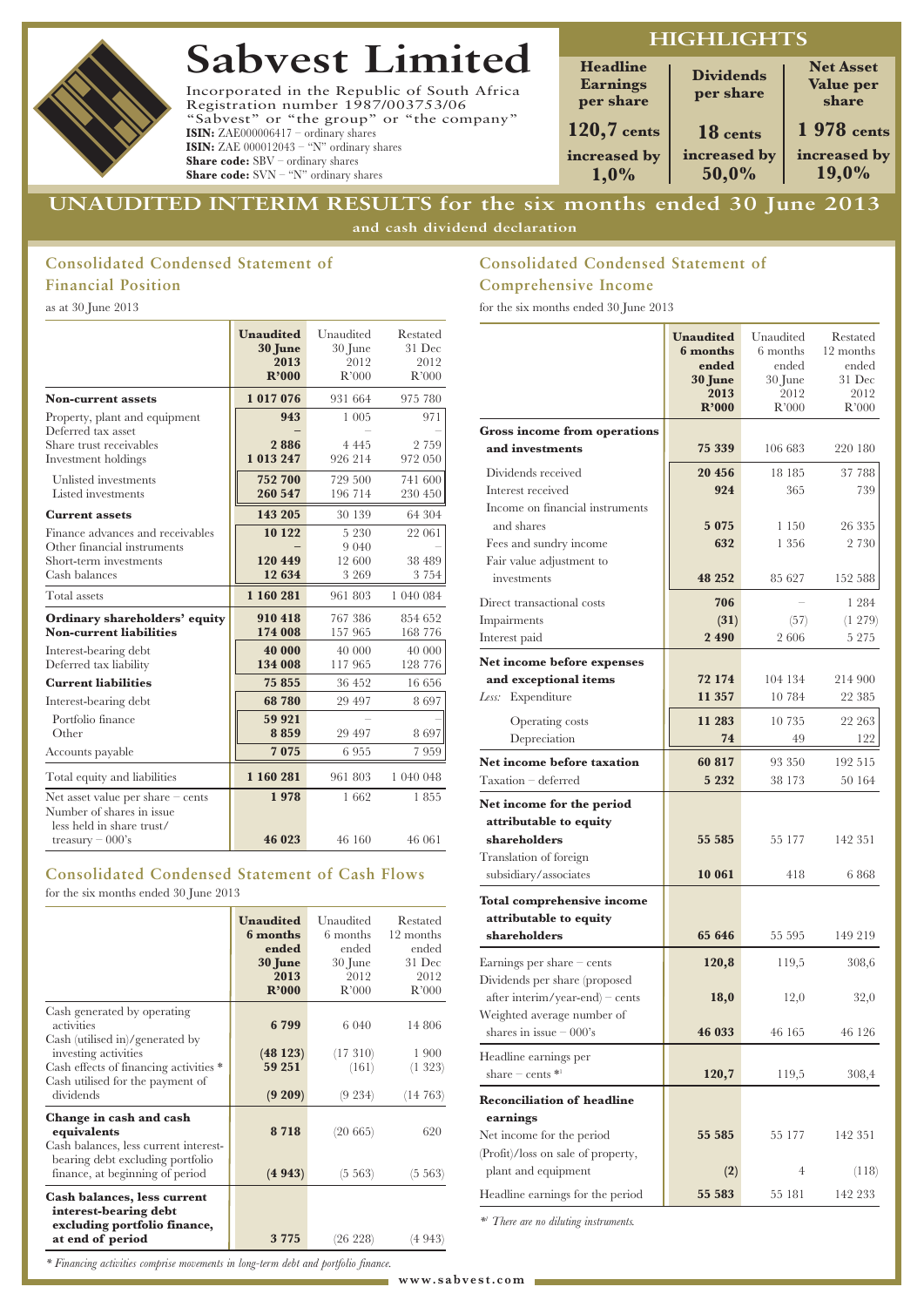# **Sabvest Limited**

Incorporated in the Republic of South Africa Registration number 1987/003753/06 "Sabvest" or "the group" or "the company" **ISIN:** ZAE000006417 – ordinary shares **ISIN:** ZAE 000012043 – "N" ordinary shares **Share code:** SBV – ordinary shares **Share code:** SVN – "N" ordinary shares

# **HIGHLIGHTS**

| <b>Headline</b><br><b>Earnings</b><br>per share | <b>Dividends</b><br>per share | <b>Net Asset</b><br>Value per<br>share |
|-------------------------------------------------|-------------------------------|----------------------------------------|
| $120,7$ cents                                   | 18 cents                      | 1 978 cents                            |
| increased by<br>1.0%                            | increased by<br>50,0%         | increased by<br>19,0%                  |

# **UNAUDITED INTERIM RESULTS for the six months ended 30 June 2013 and cash dividend declaration**

# **Consolidated Condensed Statement of Financial Position**

as at 30 June 2013

|                                                                                                            | <b>Unaudited</b><br>30 June<br>2013<br>R'000 | Unaudited<br>30 June<br>2012<br>R'000   | Restated<br>31 Dec<br>2012<br>R'000 |
|------------------------------------------------------------------------------------------------------------|----------------------------------------------|-----------------------------------------|-------------------------------------|
| <b>Non-current assets</b>                                                                                  | 1017076                                      | 931 664                                 | 975 780                             |
| Property, plant and equipment<br>Deferred tax asset<br>Share trust receivables<br>Investment holdings      | 943<br>2886<br>1 013 247                     | 1 0 0 5<br>4 4 4 5<br>926 214           | 971<br>2 7 5 9<br>972 050           |
| Unlisted investments<br>Listed investments                                                                 | 752 700<br>260 547                           | 729 500<br>196 714                      | 741 600<br>230 450                  |
| <b>Current assets</b>                                                                                      | 143 205                                      | 30 139                                  | 64 304                              |
| Finance advances and receivables<br>Other financial instruments<br>Short-term investments<br>Cash balances | 10 122<br>120 449<br>12 634                  | 5 2 3 0<br>9 0 4 0<br>12 600<br>3 2 6 9 | 22 061<br>38 489<br>3 7 5 4         |
| Total assets                                                                                               | 1 160 281                                    | 961 803                                 | 1 040 084                           |
| Ordinary shareholders' equity<br><b>Non-current liabilities</b>                                            | 910 418<br>174 008                           | 767 386<br>157 965                      | 854 652<br>168 776                  |
| Interest-bearing debt<br>Deferred tax liability                                                            | 40 000<br>134 008                            | 40 000<br>117 965                       | 40 000<br>128 776                   |
| <b>Current liabilities</b>                                                                                 | 75 855                                       | 36 452                                  | 16 656                              |
| Interest-bearing debt                                                                                      | 68 780                                       | 29 497                                  | 8697                                |
| Portfolio finance<br>Other                                                                                 | 59 921<br>8859                               | 29 497                                  | 8697                                |
| Accounts payable                                                                                           | 7075                                         | 6955                                    | 7959                                |
| Total equity and liabilities                                                                               | 1 160 281                                    | 961 803                                 | 1 040 048                           |
| Net asset value per share $-$ cents<br>Number of shares in issue<br>less held in share trust/              | 1978                                         | 1662                                    | 1855                                |
| treasury $-000$ 's                                                                                         | 46 023                                       | 46 160                                  | 46 061                              |

### **Consolidated Condensed Statement of Cash Flows** for the six months ended 30 June 2013

**Unaudited** Unaudited Restated **6 months 6** months 12 months **ended ended ended** ended ended<br>**10 June** 30 June 31 Dec **30 June** 30 June 31 Dec 2013 2012 **2013** 2012 2012<br>**R'000** R'000 R'000 **R'000** R'000 R'000 Cash generated by operating activities **6 799** 6 040 14 806 Cash (utilised in)/generated by investing activities **(48 123)** (17 310) 1 900<br>Cash effects of financing activities **59 251** (161) (1 323) Cash effects of financing activities \*  $\begin{bmatrix} 59 & 251 \end{bmatrix}$  (161) Cash utilised for the payment of dividends **(9 209)** (9 234) (14 763) **Change in cash and cash equivalents 8 718** (20 665) 620 Cash balances, less current interestbearing debt excluding portfolio finance, at beginning of period **(4 943)** (5 563) (5 563) **Cash balances, less current interest-bearing debt excluding portfolio finance, at end of period 3 775** (26 228) (4 943)

# **Consolidated Condensed Statement of Comprehensive Income**

for the six months ended 30 June 2013

|                                                                  | <b>Unaudited</b><br>6 months<br>ended<br>30 June<br>2013<br>R'000 | Unaudited<br>6 months<br>ended<br>30 June<br>2012<br>R'000 | Restated<br>12 months<br>ended<br>31 Dec<br>2012<br>R'000 |
|------------------------------------------------------------------|-------------------------------------------------------------------|------------------------------------------------------------|-----------------------------------------------------------|
| <b>Gross income from operations</b>                              |                                                                   |                                                            |                                                           |
| and investments                                                  | 75 339                                                            | 106 683                                                    | 220 180                                                   |
| Dividends received                                               | 20 456                                                            | 18 185                                                     | 37 788                                                    |
| Interest received                                                | 924                                                               | 365                                                        | 739                                                       |
| Income on financial instruments                                  |                                                                   |                                                            |                                                           |
| and shares                                                       | 5 0 7 5                                                           | 1 150                                                      | 26 335                                                    |
| Fees and sundry income                                           | 632                                                               | 1 356                                                      | 2 7 3 0                                                   |
| Fair value adjustment to<br>investments                          | 48 252                                                            | 85 627                                                     | 152 588                                                   |
| Direct transactional costs                                       | 706                                                               |                                                            | 1 284                                                     |
| Impairments                                                      | (31)                                                              | (57)                                                       | $(1\;279)$                                                |
| Interest paid                                                    | 2 4 9 0                                                           | 2606                                                       | 5 2 7 5                                                   |
| Net income before expenses                                       |                                                                   |                                                            |                                                           |
| and exceptional items                                            | 72 174                                                            | 104 134                                                    | 214 900                                                   |
| Expenditure<br>Less:                                             | 11 357                                                            | 10 784                                                     | 22 385                                                    |
| Operating costs                                                  | 11 283                                                            | 10 735                                                     | 22 263                                                    |
| Depreciation                                                     | 74                                                                | 49                                                         | 122                                                       |
| Net income before taxation                                       | 60 817                                                            | 93 350                                                     | 192 515                                                   |
| $Taxation - deferred$                                            | 5 2 3 2                                                           | 38 173                                                     | 50 164                                                    |
| Net income for the period                                        |                                                                   |                                                            |                                                           |
| attributable to equity                                           |                                                                   |                                                            |                                                           |
| shareholders                                                     | 55 585                                                            | 55 177                                                     | 142 351                                                   |
| Translation of foreign                                           |                                                                   |                                                            |                                                           |
| subsidiary/associates                                            | 10 061                                                            | 418                                                        | 6868                                                      |
| <b>Total comprehensive income</b>                                |                                                                   |                                                            |                                                           |
| attributable to equity<br>shareholders                           | 65 646                                                            | 55 595                                                     | 149 219                                                   |
|                                                                  |                                                                   |                                                            |                                                           |
| Earnings per share $-$ cents                                     | 120,8                                                             | 119,5                                                      | 308,6                                                     |
| Dividends per share (proposed<br>after interim/year-end) – cents | 18,0                                                              | 12,0                                                       | 32,0                                                      |
| Weighted average number of                                       |                                                                   |                                                            |                                                           |
| shares in issue $-000$ 's                                        | 46 033                                                            | 46 165                                                     | 46 126                                                    |
| Headline earnings per                                            |                                                                   |                                                            |                                                           |
| share $-$ cents $*$ <sup>1</sup>                                 | 120,7                                                             | 119,5                                                      | 308,4                                                     |
| <b>Reconciliation of headline</b>                                |                                                                   |                                                            |                                                           |
| earnings                                                         |                                                                   |                                                            |                                                           |
| Net income for the period                                        | 55 585                                                            | 55 177                                                     | 142 351                                                   |
| (Profit)/loss on sale of property,                               |                                                                   |                                                            |                                                           |
| plant and equipment                                              | (2)                                                               | 4                                                          | (118)                                                     |
| Headline earnings for the period                                 | 55 583                                                            | 55 181                                                     | 142 233                                                   |

*\*1 There are no diluting instruments.*

*\* Financing activities comprise movements in long-term debt and portfolio finance.*